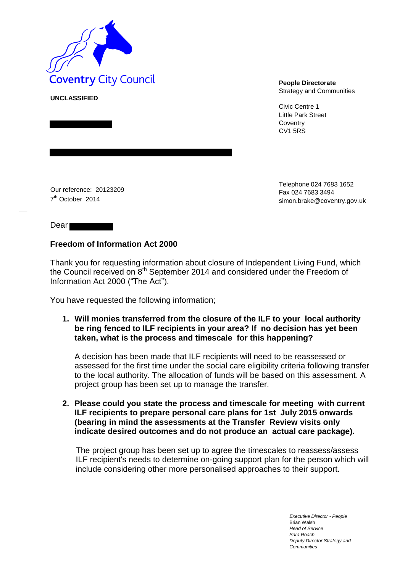

**UNCLASSIFIED**

Strategy and Communities

Civic Centre 1 Little Park Street **Coventry** CV1 5RS

Our reference: 20123209 7<sup>th</sup> October 2014

Telephone 024 7683 1652 Fax 024 7683 349[4](mailto:simon.brake@coventry.gov.uk) [simon.brake@coventry.gov.uk](mailto:simon.brake@coventry.gov.uk)

Dear

## **Freedom of Information Act 2000**

Thank you for requesting information about closure of Independent Living Fund, which the Council received on  $8<sup>th</sup>$  September 2014 and considered under the Freedom of Information Act 2000 ("The Act").

You have requested the following information;

**1. Will monies transferred from the closure of the ILF to your local authority be ring fenced to ILF recipients in your area? If no decision has yet been taken, what is the process and timescale for this happening?** 

A decision has been made that ILF recipients will need to be reassessed or assessed for the first time under the social care eligibility criteria following transfer to the local authority. The allocation of funds will be based on this assessment. A project group has been set up to manage the transfer.

**2. Please could you state the process and timescale for meeting with current ILF recipients to prepare personal care plans for 1st July 2015 onwards (bearing in mind the assessments at the Transfer Review visits only indicate desired outcomes and do not produce an actual care package).** 

The project group has been set up to agree the timescales to reassess/assess ILF recipient's needs to determine on-going support plan for the person which will include considering other more personalised approaches to their support.

> *Executive Director - People* Brian Walsh *Head of Service Sara Roach Deputy Director Strategy and Communities*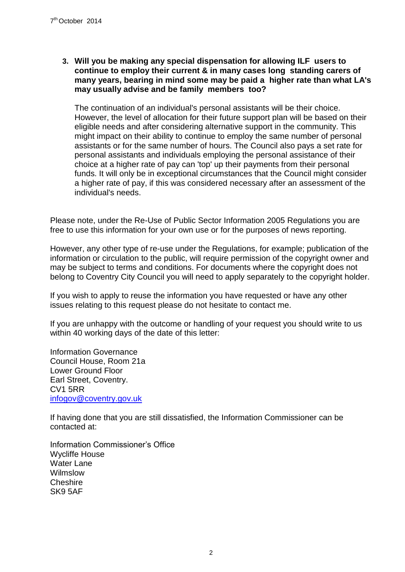**3. Will you be making any special dispensation for allowing ILF users to continue to employ their current & in many cases long standing carers of many years, bearing in mind some may be paid a higher rate than what LA's may usually advise and be family members too?**

The continuation of an individual's personal assistants will be their choice. However, the level of allocation for their future support plan will be based on their eligible needs and after considering alternative support in the community. This might impact on their ability to continue to employ the same number of personal assistants or for the same number of hours. The Council also pays a set rate for personal assistants and individuals employing the personal assistance of their choice at a higher rate of pay can 'top' up their payments from their personal funds. It will only be in exceptional circumstances that the Council might consider a higher rate of pay, if this was considered necessary after an assessment of the individual's needs.

Please note, under the Re-Use of Public Sector Information 2005 Regulations you are free to use this information for your own use or for the purposes of news reporting.

However, any other type of re-use under the Regulations, for example; publication of the information or circulation to the public, will require permission of the copyright owner and may be subject to terms and conditions. For documents where the copyright does not belong to Coventry City Council you will need to apply separately to the copyright holder.

If you wish to apply to reuse the information you have requested or have any other issues relating to this request please do not hesitate to contact me.

If you are unhappy with the outcome or handling of your request you should write to us within 40 working days of the date of this letter:

Information Governance Council House, Room 21a Lower Ground Floor Earl Street, Coventry. CV1 5RR [infogov@coventry.gov.uk](mailto:infogov@coventry.gov.uk)

If having done that you are still dissatisfied, the Information Commissioner can be contacted at:

Information Commissioner's Office Wycliffe House Water Lane Wilmslow Cheshire SK9 5AF